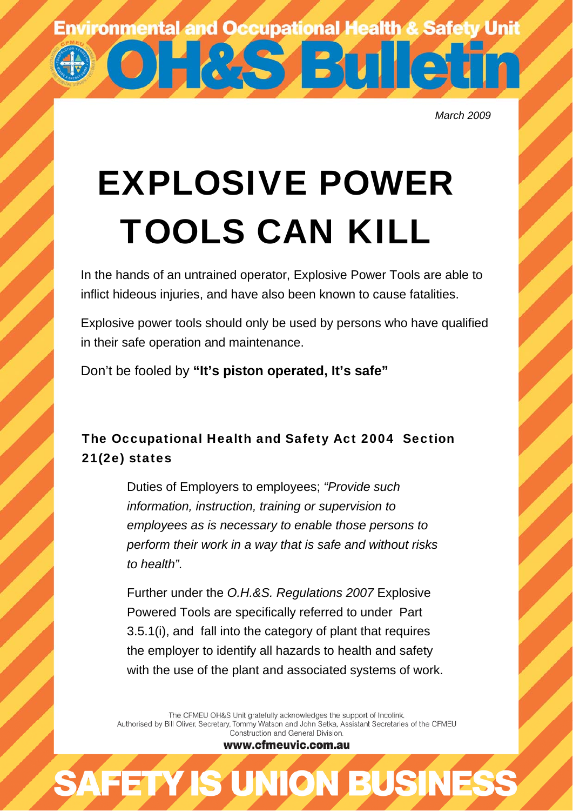**Environmental and Occupational Health & Safety Unit** 

**STETTII** 

*March 2009* 

## EXPLOSIVE POWER TOOLS CAN KILL

In the hands of an untrained operator, Explosive Power Tools are able to inflict hideous injuries, and have also been known to cause fatalities.

Explosive power tools should only be used by persons who have qualified in their safe operation and maintenance.

Don't be fooled by **"It's piston operated, It's safe"** 

## The Occupational Health and Safety Act 2004 Section 21(2e) states

Duties of Employers to employees; *"Provide such information, instruction, training or supervision to employees as is necessary to enable those persons to perform their work in a way that is safe and without risks to health".*

Further under the *O.H.&S. Regulations 2007* Explosive Powered Tools are specifically referred to under Part 3.5.1(i), and fall into the category of plant that requires the employer to identify all hazards to health and safety with the use of the plant and associated systems of work.

The CFMEU OH&S Unit gratefully acknowledges the support of Incolink. Authorised by Bill Oliver, Secretary, Tommy Watson and John Setka, Assistant Secretaries of the CFMEU Construction and General Division.

www.cfmeuvic.com.au

**AFETY IS UNION BUSINES**